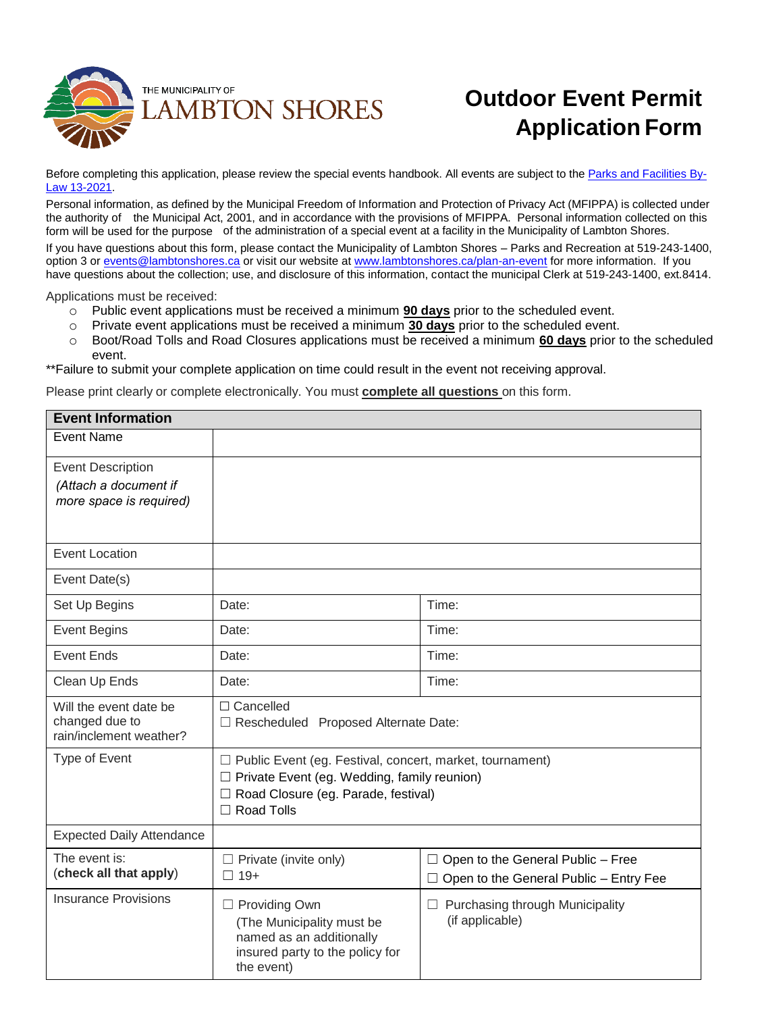

# **Outdoor Event Permit Application Form**

Before completing this application, please review the special events handbook. All events are subject to the [Parks and Facilities By-](https://www.lambtonshores.ca/en/our-government/resources/Documents/Bylaws/13-of-2021---Parks-and-Facilities.pdf)[Law 13-2021.](https://www.lambtonshores.ca/en/our-government/resources/Documents/Bylaws/13-of-2021---Parks-and-Facilities.pdf)

Personal information, as defined by the Municipal Freedom of Information and Protection of Privacy Act (MFIPPA) is collected under the authority of the Municipal Act, 2001, and in accordance with the provisions of MFIPPA. Personal information collected on this form will be used for the purpose of the administration of a special event at a facility in the Municipality of Lambton Shores.

If you have questions about this form, please contact the Municipality of Lambton Shores – Parks and Recreation at 519-243-1400, option 3 or [events@lambtonshores.ca](mailto:events@lambtonshores.ca) or visit our website at [www.lambtonshores.ca/plan-an-event](https://www.lambtonshores.ca/en/explore-and-play/plan-an-event.aspx) for more information. If you have questions about the collection; use, and disclosure of this information, contact the municipal Clerk at 519-243-1400, ext.8414.

Applications must be received:

- o Public event applications must be received a minimum **90 days** prior to the scheduled event.
- o Private event applications must be received a minimum **30 days** prior to the scheduled event.
- o Boot/Road Tolls and Road Closures applications must be received a minimum **60 days** prior to the scheduled event.

\*\*Failure to submit your complete application on time could result in the event not receiving approval.

Please print clearly or complete electronically. You must **complete all questions** on this form.

| <b>Event Information</b>                  |                                                                 |                                                           |  |  |
|-------------------------------------------|-----------------------------------------------------------------|-----------------------------------------------------------|--|--|
| <b>Event Name</b>                         |                                                                 |                                                           |  |  |
| <b>Event Description</b>                  |                                                                 |                                                           |  |  |
| (Attach a document if                     |                                                                 |                                                           |  |  |
| more space is required)                   |                                                                 |                                                           |  |  |
|                                           |                                                                 |                                                           |  |  |
| <b>Event Location</b>                     |                                                                 |                                                           |  |  |
| Event Date(s)                             |                                                                 |                                                           |  |  |
| Set Up Begins                             | Date:                                                           | Time:                                                     |  |  |
| <b>Event Begins</b>                       | Date:                                                           | Time:                                                     |  |  |
| Event Ends                                | Date:                                                           | Time:                                                     |  |  |
| Clean Up Ends                             | Date:                                                           | Time:                                                     |  |  |
| Will the event date be                    | $\Box$ Cancelled                                                |                                                           |  |  |
| changed due to<br>rain/inclement weather? | □ Rescheduled Proposed Alternate Date:                          |                                                           |  |  |
| Type of Event                             | $\Box$ Public Event (eg. Festival, concert, market, tournament) |                                                           |  |  |
|                                           | $\Box$ Private Event (eg. Wedding, family reunion)              |                                                           |  |  |
|                                           | □ Road Closure (eg. Parade, festival)                           |                                                           |  |  |
|                                           | □ Road Tolls                                                    |                                                           |  |  |
| <b>Expected Daily Attendance</b>          |                                                                 |                                                           |  |  |
| The event is:                             | $\Box$ Private (invite only)                                    | $\Box$ Open to the General Public - Free                  |  |  |
| (check all that apply)                    | $\Box$ 19+                                                      | $\Box$ Open to the General Public - Entry Fee             |  |  |
| <b>Insurance Provisions</b>               | □ Providing Own                                                 | $\Box$ Purchasing through Municipality<br>(if applicable) |  |  |
|                                           | (The Municipality must be                                       |                                                           |  |  |
|                                           | named as an additionally                                        |                                                           |  |  |
|                                           | insured party to the policy for<br>the event)                   |                                                           |  |  |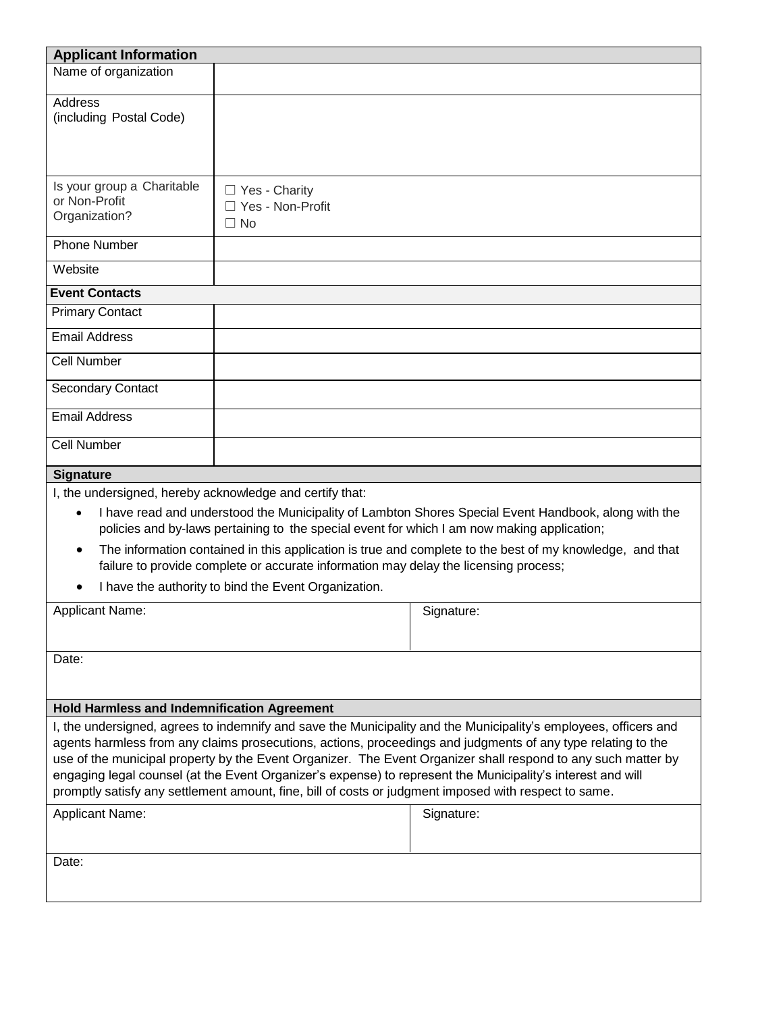| <b>Applicant Information</b>                                                                                                                                                                                                                                                                                                                                                                                                                                                                                                                                              |                                                                                                                                                                                                                                             |                                                                                                                                                                                                                  |  |  |
|---------------------------------------------------------------------------------------------------------------------------------------------------------------------------------------------------------------------------------------------------------------------------------------------------------------------------------------------------------------------------------------------------------------------------------------------------------------------------------------------------------------------------------------------------------------------------|---------------------------------------------------------------------------------------------------------------------------------------------------------------------------------------------------------------------------------------------|------------------------------------------------------------------------------------------------------------------------------------------------------------------------------------------------------------------|--|--|
| Name of organization                                                                                                                                                                                                                                                                                                                                                                                                                                                                                                                                                      |                                                                                                                                                                                                                                             |                                                                                                                                                                                                                  |  |  |
| <b>Address</b><br>(including Postal Code)                                                                                                                                                                                                                                                                                                                                                                                                                                                                                                                                 |                                                                                                                                                                                                                                             |                                                                                                                                                                                                                  |  |  |
| Is your group a Charitable<br>or Non-Profit<br>Organization?                                                                                                                                                                                                                                                                                                                                                                                                                                                                                                              | □ Yes - Charity<br>□ Yes - Non-Profit<br>$\Box$ No                                                                                                                                                                                          |                                                                                                                                                                                                                  |  |  |
| <b>Phone Number</b>                                                                                                                                                                                                                                                                                                                                                                                                                                                                                                                                                       |                                                                                                                                                                                                                                             |                                                                                                                                                                                                                  |  |  |
| Website                                                                                                                                                                                                                                                                                                                                                                                                                                                                                                                                                                   |                                                                                                                                                                                                                                             |                                                                                                                                                                                                                  |  |  |
| <b>Event Contacts</b>                                                                                                                                                                                                                                                                                                                                                                                                                                                                                                                                                     |                                                                                                                                                                                                                                             |                                                                                                                                                                                                                  |  |  |
| <b>Primary Contact</b>                                                                                                                                                                                                                                                                                                                                                                                                                                                                                                                                                    |                                                                                                                                                                                                                                             |                                                                                                                                                                                                                  |  |  |
| <b>Email Address</b>                                                                                                                                                                                                                                                                                                                                                                                                                                                                                                                                                      |                                                                                                                                                                                                                                             |                                                                                                                                                                                                                  |  |  |
| <b>Cell Number</b>                                                                                                                                                                                                                                                                                                                                                                                                                                                                                                                                                        |                                                                                                                                                                                                                                             |                                                                                                                                                                                                                  |  |  |
| <b>Secondary Contact</b>                                                                                                                                                                                                                                                                                                                                                                                                                                                                                                                                                  |                                                                                                                                                                                                                                             |                                                                                                                                                                                                                  |  |  |
| <b>Email Address</b>                                                                                                                                                                                                                                                                                                                                                                                                                                                                                                                                                      |                                                                                                                                                                                                                                             |                                                                                                                                                                                                                  |  |  |
| <b>Cell Number</b>                                                                                                                                                                                                                                                                                                                                                                                                                                                                                                                                                        |                                                                                                                                                                                                                                             |                                                                                                                                                                                                                  |  |  |
| <b>Signature</b>                                                                                                                                                                                                                                                                                                                                                                                                                                                                                                                                                          |                                                                                                                                                                                                                                             |                                                                                                                                                                                                                  |  |  |
| I, the undersigned, hereby acknowledge and certify that:<br>$\bullet$<br>$\bullet$                                                                                                                                                                                                                                                                                                                                                                                                                                                                                        | policies and by-laws pertaining to the special event for which I am now making application;<br>failure to provide complete or accurate information may delay the licensing process;<br>I have the authority to bind the Event Organization. | I have read and understood the Municipality of Lambton Shores Special Event Handbook, along with the<br>The information contained in this application is true and complete to the best of my knowledge, and that |  |  |
| <b>Applicant Name:</b>                                                                                                                                                                                                                                                                                                                                                                                                                                                                                                                                                    |                                                                                                                                                                                                                                             | Signature:                                                                                                                                                                                                       |  |  |
| Date:                                                                                                                                                                                                                                                                                                                                                                                                                                                                                                                                                                     |                                                                                                                                                                                                                                             |                                                                                                                                                                                                                  |  |  |
| <b>Hold Harmless and Indemnification Agreement</b>                                                                                                                                                                                                                                                                                                                                                                                                                                                                                                                        |                                                                                                                                                                                                                                             |                                                                                                                                                                                                                  |  |  |
| I, the undersigned, agrees to indemnify and save the Municipality and the Municipality's employees, officers and<br>agents harmless from any claims prosecutions, actions, proceedings and judgments of any type relating to the<br>use of the municipal property by the Event Organizer. The Event Organizer shall respond to any such matter by<br>engaging legal counsel (at the Event Organizer's expense) to represent the Municipality's interest and will<br>promptly satisfy any settlement amount, fine, bill of costs or judgment imposed with respect to same. |                                                                                                                                                                                                                                             |                                                                                                                                                                                                                  |  |  |
| <b>Applicant Name:</b>                                                                                                                                                                                                                                                                                                                                                                                                                                                                                                                                                    |                                                                                                                                                                                                                                             | Signature:                                                                                                                                                                                                       |  |  |
| Date:                                                                                                                                                                                                                                                                                                                                                                                                                                                                                                                                                                     |                                                                                                                                                                                                                                             |                                                                                                                                                                                                                  |  |  |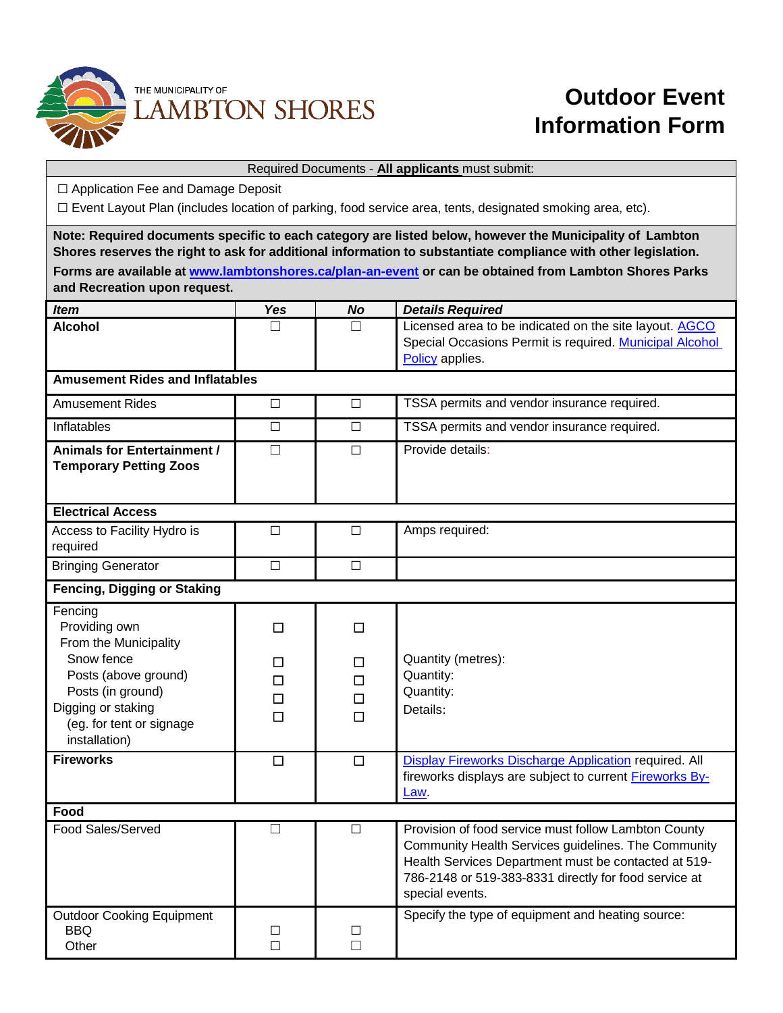

## **Outdoor Event Information Form**

### Required Documents - **All applicants** must submit:

☐ Application Fee and Damage Deposit

☐ Event Layout Plan (includes location of parking, food service area, tents, designated smoking area, etc).

**Note: Required documents specific to each category are listed below, however the Municipality of Lambton Shores reserves the right to ask for additional information to substantiate compliance with other legislation. Forms are available at [www.lambtonshores.ca/plan-an-event](http://www.lambtonshores.ca/plan-an-event) or can be obtained from Lambton Shores Parks and Recreation upon request.** *Item Yes No Details Required* **Alcohol** □ □ □ Licensed area to be indicated on the site layout. [AGCO](https://www.agco.ca/) Special Occasions Permit is required. [Municipal Alcohol](https://www.lambtonshores.ca/en/explore-and-play/resources/Documents/Policy-048---Alcohol-Policy---Amended-2013.pdf)  [Policy](https://www.lambtonshores.ca/en/explore-and-play/resources/Documents/Policy-048---Alcohol-Policy---Amended-2013.pdf) applies. **Amusement Rides and Inflatables** Amusement Rides □ <del>□</del> □ TSSA permits and vendor insurance required. Inflatables ☐ ☐ TSSA permits and vendor insurance required. **Animals for Entertainment / Temporary Petting Zoos** ☐ ☐ Provide details: **Electrical Access** Access to Facility Hydro is required ☐ ☐ Amps required:

Bringing Generator **□** □ □

| <b>Fencing, Digging or Staking</b>                                                                                                                                              |                            |                                 |                                                                                                                                                                                                                                                 |  |  |
|---------------------------------------------------------------------------------------------------------------------------------------------------------------------------------|----------------------------|---------------------------------|-------------------------------------------------------------------------------------------------------------------------------------------------------------------------------------------------------------------------------------------------|--|--|
| Fencing<br>Providing own<br>From the Municipality<br>Snow fence<br>Posts (above ground)<br>Posts (in ground)<br>Digging or staking<br>(eg. for tent or signage<br>installation) | П<br>□<br>□<br>$\Box$<br>П | □<br>□<br>$\Box$<br>$\Box$<br>П | Quantity (metres):<br>Quantity:<br>Quantity:<br>Details:                                                                                                                                                                                        |  |  |
| <b>Fireworks</b>                                                                                                                                                                | П                          | $\Box$                          | Display Fireworks Discharge Application required. All                                                                                                                                                                                           |  |  |
|                                                                                                                                                                                 |                            |                                 | fireworks displays are subject to current <b>Fireworks By-</b><br>Law                                                                                                                                                                           |  |  |
| Food                                                                                                                                                                            |                            |                                 |                                                                                                                                                                                                                                                 |  |  |
| Food Sales/Served                                                                                                                                                               |                            | П                               | Provision of food service must follow Lambton County<br>Community Health Services guidelines. The Community<br>Health Services Department must be contacted at 519-<br>786-2148 or 519-383-8331 directly for food service at<br>special events. |  |  |
| <b>Outdoor Cooking Equipment</b>                                                                                                                                                |                            |                                 | Specify the type of equipment and heating source:                                                                                                                                                                                               |  |  |
| BBQ<br>Other                                                                                                                                                                    | □<br>П                     | □<br>П                          |                                                                                                                                                                                                                                                 |  |  |